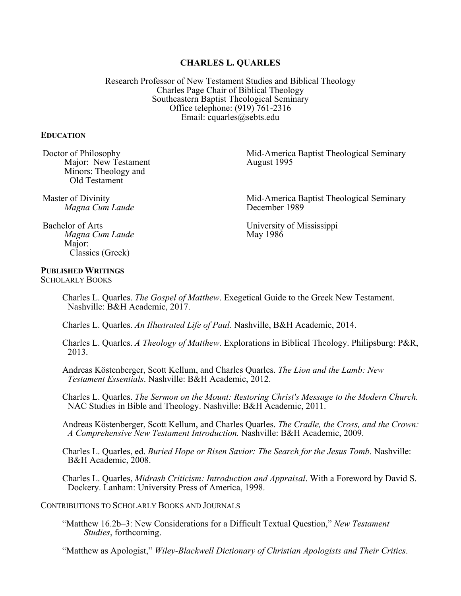# **CHARLES L. QUARLES**

Research Professor of New Testament Studies and Biblical Theology Charles Page Chair of Biblical Theology Southeastern Baptist Theological Seminary Office telephone: (919) 761-2316 Email: cquarles@sebts.edu

#### **EDUCATION**

Doctor of Philosophy Major: New Testament Minors: Theology and Old Testament

Mid-America Baptist Theological Seminary August 1995

Master of Divinity *Magna Cum Laude*

Mid-America Baptist Theological Seminary December 1989

University of Mississippi May 1986

Bachelor of Arts *Magna Cum Laude* Major:<br>Classics (Greek)

# **PUBLISHED WRITINGS**

SCHOLARLY BOOKS

Charles L. Quarles. *The Gospel of Matthew*. Exegetical Guide to the Greek New Testament. Nashville: B&H Academic, 2017.

Charles L. Quarles. *An Illustrated Life of Paul*. Nashville, B&H Academic, 2014.

- Charles L. Quarles. *A Theology of Matthew*. Explorations in Biblical Theology. Philipsburg: P&R, 2013.
- Andreas Köstenberger, Scott Kellum, and Charles Quarles. *The Lion and the Lamb: New Testament Essentials*. Nashville: B&H Academic, 2012.
- Charles L. Quarles. *The Sermon on the Mount: Restoring Christ's Message to the Modern Church.* NAC Studies in Bible and Theology. Nashville: B&H Academic, 2011.

Andreas Köstenberger, Scott Kellum, and Charles Quarles. *The Cradle, the Cross, and the Crown: A Comprehensive New Testament Introduction.* Nashville: B&H Academic, 2009.

Charles L. Quarles, ed. *Buried Hope or Risen Savior: The Search for the Jesus Tomb*. Nashville: B&H Academic, 2008.

Charles L. Quarles, *Midrash Criticism: Introduction and Appraisal*. With a Foreword by David S. Dockery. Lanham: University Press of America, 1998.

CONTRIBUTIONS TO SCHOLARLY BOOKS AND JOURNALS

"Matthew 16.2b–3: New Considerations for a Difficult Textual Question," *New Testament Studies*, forthcoming.

"Matthew as Apologist," *Wiley-Blackwell Dictionary of Christian Apologists and Their Critics*.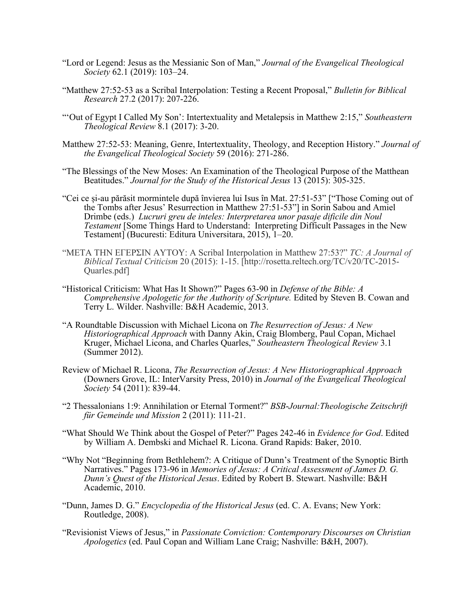- "Lord or Legend: Jesus as the Messianic Son of Man," *Journal of the Evangelical Theological Society* 62.1 (2019): 103–24.
- "Matthew 27:52-53 as a Scribal Interpolation: Testing a Recent Proposal," *Bulletin for Biblical Research* 27.2 (2017): 207-226.
- "'Out of Egypt I Called My Son': Intertextuality and Metalepsis in Matthew 2:15," *Southeastern Theological Review* 8.1 (2017): 3-20.
- Matthew 27:52-53: Meaning, Genre, Intertextuality, Theology, and Reception History." *Journal of the Evangelical Theological Society* 59 (2016): 271-286.
- "The Blessings of the New Moses: An Examination of the Theological Purpose of the Matthean Beatitudes." *Journal for the Study of the Historical Jesus* 13 (2015): 305-325.
- "Cei ce și-au părăsit mormintele după învierea lui Isus în Mat. 27:51-53" ["Those Coming out of the Tombs after Jesus' Resurrection in Matthew 27:51-53"] in Sorin Sabou and Amiel Drimbe (eds.) *Lucruri greu de inteles: Interpretarea unor pasaje dificile din Noul Testament* [Some Things Hard to Understand: Interpreting Difficult Passages in the New Testament] (Bucuresti: Editura Universitara, 2015), 1–20.
- "ΜΕΤΑ ΤΗΝ ΕΓΕΡΣΙΝ ΑΥΤΟΥ: A Scribal Interpolation in Matthew 27:53?" *TC: A Journal of Biblical Textual Criticism* 20 (2015): 1-15. [http://rosetta.reltech.org/TC/v20/TC-2015- Quarles.pdf]
- "Historical Criticism: What Has It Shown?" Pages 63-90 in *Defense of the Bible: A Comprehensive Apologetic for the Authority of Scripture.* Edited by Steven B. Cowan and Terry L. Wilder. Nashville: B&H Academic, 2013.
- "A Roundtable Discussion with Michael Licona on *The Resurrection of Jesus: A New Historiographical Approach* with Danny Akin, Craig Blomberg, Paul Copan, Michael Kruger, Michael Licona, and Charles Quarles," *Southeastern Theological Review* 3.1 (Summer 2012).
- Review of Michael R. Licona, *The Resurrection of Jesus: A New Historiographical Approach* (Downers Grove, IL: InterVarsity Press, 2010) in *Journal of the Evangelical Theological Society* 54 (2011): 839-44.
- "2 Thessalonians 1:9: Annihilation or Eternal Torment?" *BSB*-*Journal:Theologische Zeitschrift für Gemeinde und Mission* 2 (2011): 111-21.
- "What Should We Think about the Gospel of Peter?" Pages 242-46 in *Evidence for God*. Edited by William A. Dembski and Michael R. Licona. Grand Rapids: Baker, 2010.
- "Why Not "Beginning from Bethlehem?: A Critique of Dunn's Treatment of the Synoptic Birth Narratives." Pages 173-96 in *Memories of Jesus: A Critical Assessment of James D. G. Dunn's Quest of the Historical Jesus*. Edited by Robert B. Stewart. Nashville: B&H Academic, 2010.
- "Dunn, James D. G." *Encyclopedia of the Historical Jesus* (ed. C. A. Evans; New York: Routledge, 2008).
- "Revisionist Views of Jesus," in *Passionate Conviction: Contemporary Discourses on Christian Apologetics* (ed. Paul Copan and William Lane Craig; Nashville: B&H, 2007).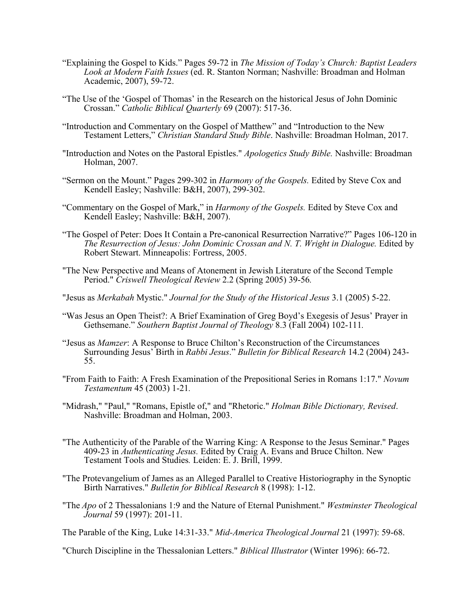- "Explaining the Gospel to Kids." Pages 59-72 in *The Mission of Today's Church: Baptist Leaders Look at Modern Faith Issues* (ed. R. Stanton Norman; Nashville: Broadman and Holman Academic, 2007), 59-72.
- "The Use of the 'Gospel of Thomas' in the Research on the historical Jesus of John Dominic Crossan." *Catholic Biblical Quarterly* 69 (2007): 517-36.
- "Introduction and Commentary on the Gospel of Matthew" and "Introduction to the New Testament Letters," *Christian Standard Study Bible*. Nashville: Broadman Holman, 2017.
- "Introduction and Notes on the Pastoral Epistles." *Apologetics Study Bible.* Nashville: Broadman Holman, 2007.
- "Sermon on the Mount." Pages 299-302 in *Harmony of the Gospels.* Edited by Steve Cox and Kendell Easley; Nashville: B&H, 2007), 299-302.
- "Commentary on the Gospel of Mark," in *Harmony of the Gospels.* Edited by Steve Cox and Kendell Easley; Nashville: B&H, 2007).
- "The Gospel of Peter: Does It Contain a Pre-canonical Resurrection Narrative?" Pages 106-120 in *The Resurrection of Jesus: John Dominic Crossan and N. T. Wright in Dialogue.* Edited by Robert Stewart. Minneapolis: Fortress, 2005.
- "The New Perspective and Means of Atonement in Jewish Literature of the Second Temple Period." *Criswell Theological Review* 2.2 (Spring 2005) 39-56*.*
- "Jesus as *Merkabah* Mystic." *Journal for the Study of the Historical Jesus* 3.1 (2005) 5-22.
- "Was Jesus an Open Theist?: A Brief Examination of Greg Boyd's Exegesis of Jesus' Prayer in Gethsemane." *Southern Baptist Journal of Theology* 8.3 (Fall 2004) 102-111*.*
- "Jesus as *Mamzer*: A Response to Bruce Chilton's Reconstruction of the Circumstances Surrounding Jesus' Birth in *Rabbi Jesus*." *Bulletin for Biblical Research* 14.2 (2004) 243- 55.
- "From Faith to Faith: A Fresh Examination of the Prepositional Series in Romans 1:17." *Novum Testamentum* 45 (2003) 1-21*.*
- "Midrash," "Paul," "Romans, Epistle of," and "Rhetoric." *Holman Bible Dictionary, Revised*. Nashville: Broadman and Holman, 2003.
- "The Authenticity of the Parable of the Warring King: A Response to the Jesus Seminar." Pages 409-23 in *Authenticating Jesus.* Edited by Craig A. Evans and Bruce Chilton. New Testament Tools and Studies*.* Leiden: E. J. Brill, 1999.
- "The Protevangelium of James as an Alleged Parallel to Creative Historiography in the Synoptic Birth Narratives." *Bulletin for Biblical Research* 8 (1998): 1-12.
- "The *Apo* of 2 Thessalonians 1:9 and the Nature of Eternal Punishment." *Westminster Theological Journal* 59 (1997): 201-11.
- The Parable of the King, Luke 14:31-33." *Mid-America Theological Journal* 21 (1997): 59-68.
- "Church Discipline in the Thessalonian Letters." *Biblical Illustrator* (Winter 1996): 66-72.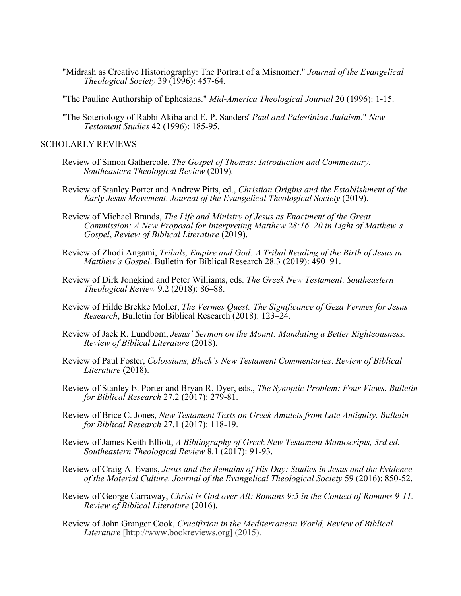- "Midrash as Creative Historiography: The Portrait of a Misnomer." *Journal of the Evangelical Theological Society* 39 (1996): 457-64.
- "The Pauline Authorship of Ephesians." *Mid-America Theological Journal* 20 (1996): 1-15.
- "The Soteriology of Rabbi Akiba and E. P. Sanders' *Paul and Palestinian Judaism.*" *New Testament Studies* 42 (1996): 185-95.

### SCHOLARLY REVIEWS

- Review of Simon Gathercole, *The Gospel of Thomas: Introduction and Commentary*, *Southeastern Theological Review* (2019)*.*
- Review of Stanley Porter and Andrew Pitts, ed., *Christian Origins and the Establishment of the Early Jesus Movement*. *Journal of the Evangelical Theological Society* (2019).
- Review of Michael Brands, *The Life and Ministry of Jesus as Enactment of the Great Commission: A New Proposal for Interpreting Matthew 28:16–20 in Light of Matthew's Gospel*, *Review of Biblical Literature* (2019).
- Review of Zhodi Angami, *Tribals, Empire and God: A Tribal Reading of the Birth of Jesus in Matthew's Gospel*. Bulletin for Biblical Research 28.3 (2019): 490–91.
- Review of Dirk Jongkind and Peter Williams, eds. *The Greek New Testament*. *Southeastern Theological Review* 9.2 (2018): 86–88.
- Review of Hilde Brekke Moller, *The Vermes Quest: The Significance of Geza Vermes for Jesus Research*, Bulletin for Biblical Research (2018): 123–24.
- Review of Jack R. Lundbom, *Jesus' Sermon on the Mount: Mandating a Better Righteousness. Review of Biblical Literature* (2018).
- Review of Paul Foster, *Colossians, Black's New Testament Commentaries*. *Review of Biblical Literature* (2018).
- Review of Stanley E. Porter and Bryan R. Dyer, eds., *The Synoptic Problem: Four Views*. *Bulletin for Biblical Research* 27.2 (2017): 279-81.
- Review of Brice C. Jones, *New Testament Texts on Greek Amulets from Late Antiquity*. *Bulletin for Biblical Research* 27.1 (2017): 118-19.
- Review of James Keith Elliott, *A Bibliography of Greek New Testament Manuscripts, 3rd ed. Southeastern Theological Review* 8.1 (2017): 91-93.
- Review of Craig A. Evans, *Jesus and the Remains of His Day: Studies in Jesus and the Evidence of the Material Culture. Journal of the Evangelical Theological Society* 59 (2016): 850-52.
- Review of George Carraway, *Christ is God over All: Romans 9:5 in the Context of Romans 9-11. Review of Biblical Literature* (2016).
- Review of John Granger Cook, *Crucifixion in the Mediterranean World, Review of Biblical Literature* [http://www.bookreviews.org] (2015).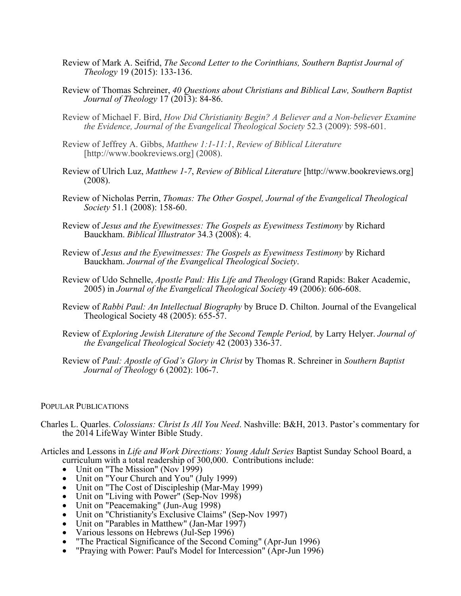- Review of Mark A. Seifrid, *The Second Letter to the Corinthians, Southern Baptist Journal of Theology* 19 (2015): 133-136.
- Review of Thomas Schreiner, *40 Questions about Christians and Biblical Law, Southern Baptist Journal of Theology* 17 (2013): 84-86.
- Review of Michael F. Bird, *How Did Christianity Begin? A Believer and a Non-believer Examine the Evidence, Journal of the Evangelical Theological Society* 52.3 (2009): 598-601.
- Review of Jeffrey A. Gibbs, *Matthew 1:1-11:1*, *Review of Biblical Literature* [http://www.bookreviews.org] (2008).
- Review of Ulrich Luz, *Matthew 1-7*, *Review of Biblical Literature* [http://www.bookreviews.org] (2008).
- Review of Nicholas Perrin, *Thomas: The Other Gospel, Journal of the Evangelical Theological Society* 51.1 (2008): 158-60.
- Review of *Jesus and the Eyewitnesses: The Gospels as Eyewitness Testimony* by Richard Bauckham. *Biblical Illustrator* 34.3 (2008): 4.
- Review of *Jesus and the Eyewitnesses: The Gospels as Eyewitness Testimony* by Richard Bauckham. *Journal of the Evangelical Theological Society*.
- Review of Udo Schnelle, *Apostle Paul: His Life and Theology* (Grand Rapids: Baker Academic, 2005) in *Journal of the Evangelical Theological Society* 49 (2006): 606-608.
- Review of *Rabbi Paul: An Intellectual Biography* by Bruce D. Chilton. Journal of the Evangelical Theological Society 48 (2005): 655-57.
- Review of *Exploring Jewish Literature of the Second Temple Period,* by Larry Helyer. *Journal of the Evangelical Theological Society* 42 (2003) 336-37.
- Review of *Paul: Apostle of God's Glory in Christ* by Thomas R. Schreiner in *Southern Baptist Journal of Theology* 6 (2002): 106-7.

## POPULAR PUBLICATIONS

- Charles L. Quarles. *Colossians: Christ Is All You Need*. Nashville: B&H, 2013. Pastor's commentary for the 2014 LifeWay Winter Bible Study.
- Articles and Lessons in *Life and Work Directions: Young Adult Series* Baptist Sunday School Board, a curriculum with a total readership of 300,000. Contributions include:<br>• Unit on "The Mission" (Nov 1999)
	-
	-
	-
	-
	-
	- Unit on "Your Church and You" (July 1999)<br>• Unit on "The Cost of Discipleship (Mar-May 1999)<br>• Unit on "Living with Power" (Sep-Nov 1998)<br>• Unit on "Peacemaking" (Jun-Aug 1998)<br>• Unit on "Christianity's Exclusive Claims"
	-
	- Various lessons on Hebrews (Jul-Sep 1996)
	- "The Practical Significance of the Second Coming" (Apr-Jun 1996)
	- "Praying with Power: Paul's Model for Intercession" (Apr-Jun 1996)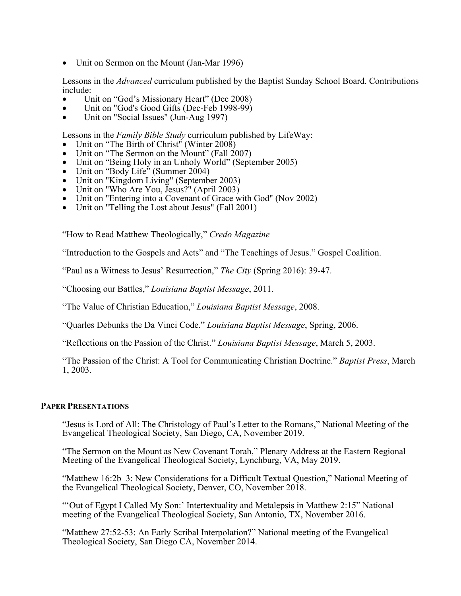• Unit on Sermon on the Mount (Jan-Mar 1996)

Lessons in the *Advanced* curriculum published by the Baptist Sunday School Board. Contributions include:

- Unit on "God's Missionary Heart" (Dec 2008) Unit on "God's Good Gifts (Dec-Feb 1998-99) Unit on "Social Issues" (Jun-Aug 1997)
- 
- 

- 
- 
- 
- 
- 
- 
- Lessons in the *Family Bible Study* curriculum published by LifeWay:<br>
Unit on "The Birth of Christ" (Winter 2008)<br>
Unit on "The Sermon on the Mount" (Fall 2007)<br>
Unit on "Being Holy in an Unholy World" (September 200
- 

"How to Read Matthew Theologically," *Credo Magazine*

"Introduction to the Gospels and Acts" and "The Teachings of Jesus." Gospel Coalition.

"Paul as a Witness to Jesus' Resurrection," *The City* (Spring 2016): 39-47.

"Choosing our Battles," *Louisiana Baptist Message*, 2011.

"The Value of Christian Education," *Louisiana Baptist Message*, 2008.

"Quarles Debunks the Da Vinci Code." *Louisiana Baptist Message*, Spring, 2006.

"Reflections on the Passion of the Christ." *Louisiana Baptist Message*, March 5, 2003.

"The Passion of the Christ: A Tool for Communicating Christian Doctrine." *Baptist Press*, March 1, 2003.

## **PAPER PRESENTATIONS**

"Jesus is Lord of All: The Christology of Paul's Letter to the Romans," National Meeting of the Evangelical Theological Society, San Diego, CA, November 2019.

"The Sermon on the Mount as New Covenant Torah," Plenary Address at the Eastern Regional Meeting of the Evangelical Theological Society, Lynchburg, VA, May 2019.

"Matthew 16:2b–3: New Considerations for a Difficult Textual Question," National Meeting of the Evangelical Theological Society, Denver, CO, November 2018.

"'Out of Egypt I Called My Son:' Intertextuality and Metalepsis in Matthew 2:15" National meeting of the Evangelical Theological Society, San Antonio, TX, November 2016.

"Matthew 27:52-53: An Early Scribal Interpolation?" National meeting of the Evangelical Theological Society, San Diego CA, November 2014.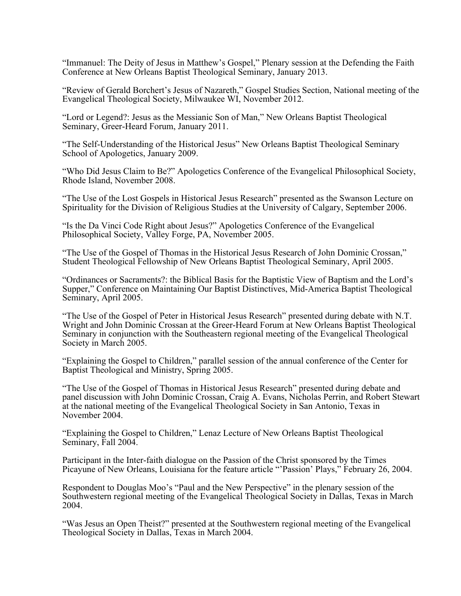"Immanuel: The Deity of Jesus in Matthew's Gospel," Plenary session at the Defending the Faith Conference at New Orleans Baptist Theological Seminary, January 2013.

"Review of Gerald Borchert's Jesus of Nazareth," Gospel Studies Section, National meeting of the Evangelical Theological Society, Milwaukee WI, November 2012.

"Lord or Legend?: Jesus as the Messianic Son of Man," New Orleans Baptist Theological Seminary, Greer-Heard Forum, January 2011.

"The Self-Understanding of the Historical Jesus" New Orleans Baptist Theological Seminary School of Apologetics, January 2009.

"Who Did Jesus Claim to Be?" Apologetics Conference of the Evangelical Philosophical Society, Rhode Island, November 2008.

"The Use of the Lost Gospels in Historical Jesus Research" presented as the Swanson Lecture on Spirituality for the Division of Religious Studies at the University of Calgary, September 2006.

"Is the Da Vinci Code Right about Jesus?" Apologetics Conference of the Evangelical Philosophical Society, Valley Forge, PA, November 2005.

"The Use of the Gospel of Thomas in the Historical Jesus Research of John Dominic Crossan," Student Theological Fellowship of New Orleans Baptist Theological Seminary, April 2005.

"Ordinances or Sacraments?: the Biblical Basis for the Baptistic View of Baptism and the Lord's Supper," Conference on Maintaining Our Baptist Distinctives, Mid-America Baptist Theological Seminary, April 2005.

"The Use of the Gospel of Peter in Historical Jesus Research" presented during debate with N.T. Wright and John Dominic Crossan at the Greer-Heard Forum at New Orleans Baptist Theological Seminary in conjunction with the Southeastern regional meeting of the Evangelical Theological Society in March 2005.

"Explaining the Gospel to Children," parallel session of the annual conference of the Center for Baptist Theological and Ministry, Spring 2005.

"The Use of the Gospel of Thomas in Historical Jesus Research" presented during debate and panel discussion with John Dominic Crossan, Craig A. Evans, Nicholas Perrin, and Robert Stewart at the national meeting of the Evangelical Theological Society in San Antonio, Texas in November 2004.

"Explaining the Gospel to Children," Lenaz Lecture of New Orleans Baptist Theological Seminary, Fall 2004.

Participant in the Inter-faith dialogue on the Passion of the Christ sponsored by the Times Picayune of New Orleans, Louisiana for the feature article "'Passion' Plays," February 26, 2004.

Respondent to Douglas Moo's "Paul and the New Perspective" in the plenary session of the Southwestern regional meeting of the Evangelical Theological Society in Dallas, Texas in March 2004.

"Was Jesus an Open Theist?" presented at the Southwestern regional meeting of the Evangelical Theological Society in Dallas, Texas in March 2004.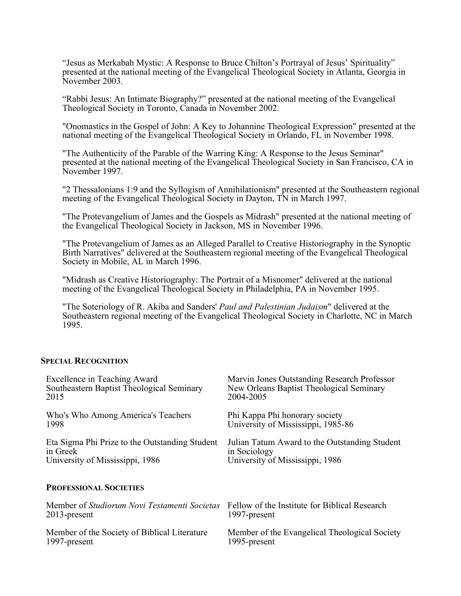"Jesus as Merkabah Mystic: A Response to Bruce Chilton's Portrayal of Jesus' Spirituality" presented at the national meeting of the Evangelical Theological Society in Atlanta, Georgia in November 2003.

"Rabbi Jesus: An Intimate Biography?" presented at the national meeting of the Evangelical Theological Society in Toronto, Canada in November 2002.

"Onomastics in the Gospel of John: A Key to Johannine Theological Expression" presented at the national meeting of the Evangelical Theological Society in Orlando, FL in November 1998.

"The Authenticity of the Parable of the Warring King: A Response to the Jesus Seminar" presented at the national meeting of the Evangelical Theological Society in San Francisco, CA in November 1997.

"2 Thessalonians 1:9 and the Syllogism of Annihilationism" presented at the Southeastern regional meeting of the Evangelical Theological Society in Dayton, TN in March 1997.

"The Protevangelium of James and the Gospels as Midrash" presented at the national meeting of the Evangelical Theological Society in Jackson, MS in November 1996.

"The Protevangelium of James as an Alleged Parallel to Creative Historiography in the Synoptic Birth Narratives" delivered at the Southeastern regional meeting of the Evangelical Theological Society in Mobile, AL in March 1996.

"Midrash as Creative Historiography: The Portrait of a Misnomer" delivered at the national meeting of the Evangelical Theological Society in Philadelphia, PA in November 1995.

"The Soteriology of R. Akiba and Sanders' *Paul and Palestinian Judaism*" delivered at the Southeastern regional meeting of the Evangelical Theological Society in Charlotte, NC in March 1995.

#### **SPECIAL RECOGNITION**

| Excellence in Teaching Award                        | Marvin Jones Outstanding Research Professor   |
|-----------------------------------------------------|-----------------------------------------------|
| Southeastern Baptist Theological Seminary           | New Orleans Baptist Theological Seminary      |
| 2015                                                | 2004-2005                                     |
| Who's Who Among America's Teachers                  | Phi Kappa Phi honorary society                |
| 1998                                                | University of Mississippi, 1985-86            |
| Eta Sigma Phi Prize to the Outstanding Student      | Julian Tatum Award to the Outstanding Student |
| in Greek                                            | in Sociology                                  |
| University of Mississippi, 1986                     | University of Mississippi, 1986               |
| <b>PROFESSIONAL SOCIETIES</b>                       |                                               |
| Member of <i>Studiorum Novi Testamenti Societas</i> | Fellow of the Institute for Biblical Research |
| $2013$ -present                                     | 1997-present                                  |
| Member of the Society of Biblical Literature        | Member of the Evangelical Theological Society |
| 1997-present                                        | 1995-present                                  |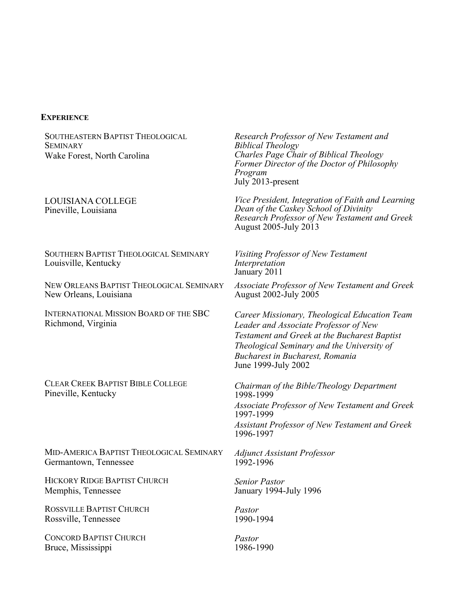## **EXPERIENCE**

SOUTHEASTERN BAPTIST THEOLOGICAL **SEMINARY** Wake Forest, North Carolina

## LOUISIANA COLLEGE Pineville, Louisiana

SOUTHERN BAPTIST THEOLOGICAL SEMINARY Louisville, Kentucky

NEW ORLEANS BAPTIST THEOLOGICAL SEMINARY New Orleans, Louisiana

INTERNATIONAL MISSION BOARD OF THE SBC Richmond, Virginia

CLEAR CREEK BAPTIST BIBLE COLLEGE

MID-AMERICA BAPTIST THEOLOGICAL SEMINARY Germantown, Tennessee

HICKORY RIDGE BAPTIST CHURCH Memphis, Tennessee

ROSSVILLE BAPTIST CHURCH Rossville, Tennessee

CONCORD BAPTIST CHURCH Bruce, Mississippi

*Research Professor of New Testament and Biblical Theology Charles Page Chair of Biblical Theology Former Director of the Doctor of Philosophy Program* July 2013-present

*Vice President, Integration of Faith and Learning Dean of the Caskey School of Divinity Research Professor of New Testament and Greek* August 2005-July 2013

*Visiting Professor of New Testament Interpretation* January 2011

*Associate Professor of New Testament and Greek* August 2002-July 2005

*Career Missionary, Theological Education Team Leader and Associate Professor of New Testament and Greek at the Bucharest Baptist Theological Seminary and the University of Bucharest in Bucharest, Romania* June 1999-July 2002

Pineville, Kentucky *Chairman of the Bible/Theology Department* 1998-1999 *Associate Professor of New Testament and Greek* 1997-1999 *Assistant Professor of New Testament and Greek* 1996-1997

> *Adjunct Assistant Professor* 1992-1996

*Senior Pastor* January 1994-July 1996

*Pastor* 1990-1994

*Pastor* 1986-1990